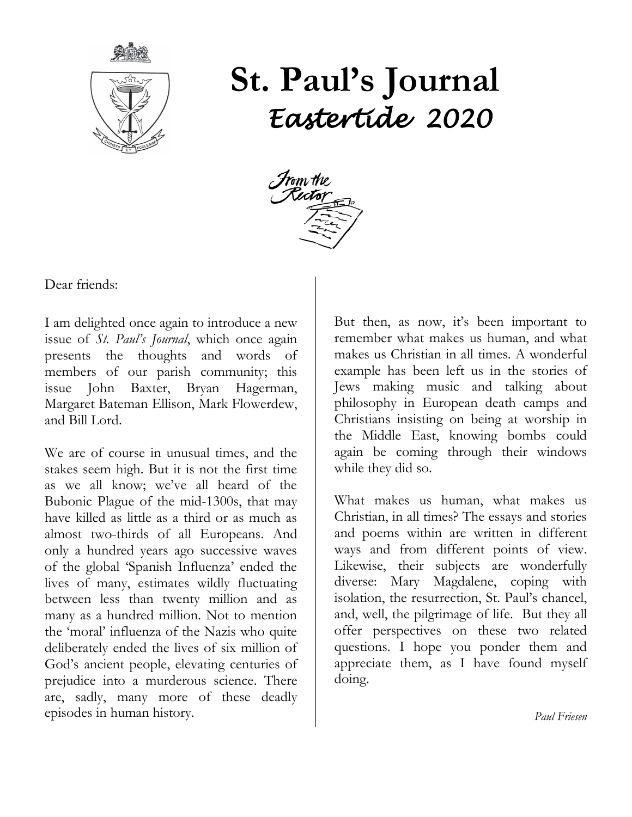

# **St. Paul's Journal** *Eastertide 2020*



Dear friends:

I am delighted once again to introduce a new issue of *St. Paul's Journal*, which once again presents the thoughts and words of members of our parish community; this issue John Baxter, Bryan Hagerman, Margaret Bateman Ellison, Mark Flowerdew, and Bill Lord.

We are of course in unusual times, and the stakes seem high. But it is not the first time as we all know; we've all heard of the Bubonic Plague of the mid-1300s, that may have killed as little as a third or as much as almost two-thirds of all Europeans. And only a hundred years ago successive waves of the global 'Spanish Influenza' ended the lives of many, estimates wildly fluctuating between less than twenty million and as many as a hundred million. Not to mention the 'moral' influenza of the Nazis who quite deliberately ended the lives of six million of God's ancient people, elevating centuries of prejudice into a murderous science. There are, sadly, many more of these deadly episodes in human history.

But then, as now, it's been important to remember what makes us human, and what makes us Christian in all times. A wonderful example has been left us in the stories of Jews making music and talking about philosophy in European death camps and Christians insisting on being at worship in the Middle East, knowing bombs could again be coming through their windows while they did so.

What makes us human, what makes us Christian, in all times? The essays and stories and poems within are written in different ways and from different points of view. Likewise, their subjects are wonderfully diverse: Mary Magdalene, coping with isolation, the resurrection, St. Paul's chancel, and, well, the pilgrimage of life. But they all offer perspectives on these two related questions. I hope you ponder them and appreciate them, as I have found myself doing.

*Paul Friesen*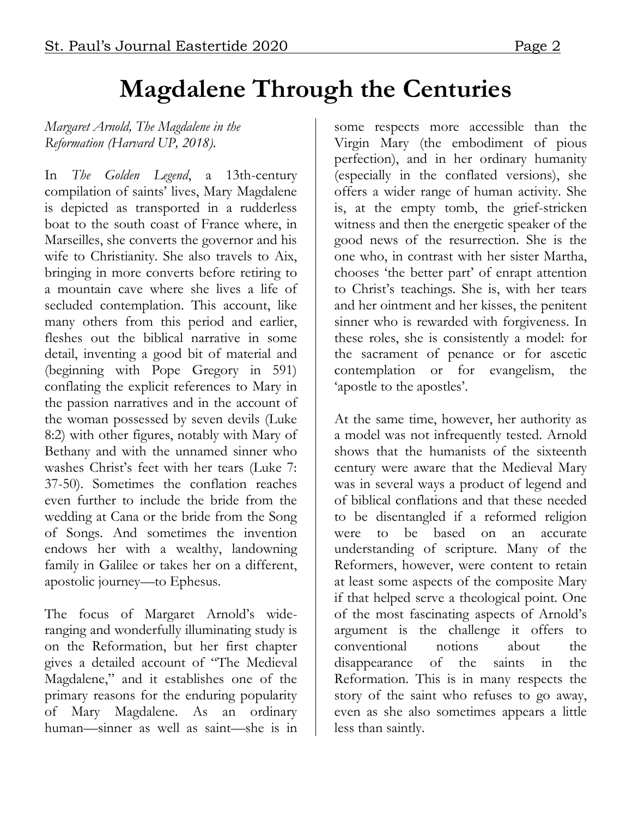# **Magdalene Through the Centuries**

*Margaret Arnold, The Magdalene in the Reformation (Harvard UP, 2018).*

In *The Golden Legend*, a 13th-century compilation of saints' lives, Mary Magdalene is depicted as transported in a rudderless boat to the south coast of France where, in Marseilles, she converts the governor and his wife to Christianity. She also travels to Aix, bringing in more converts before retiring to a mountain cave where she lives a life of secluded contemplation. This account, like many others from this period and earlier, fleshes out the biblical narrative in some detail, inventing a good bit of material and (beginning with Pope Gregory in 591) conflating the explicit references to Mary in the passion narratives and in the account of the woman possessed by seven devils (Luke 8:2) with other figures, notably with Mary of Bethany and with the unnamed sinner who washes Christ's feet with her tears (Luke 7: 37-50). Sometimes the conflation reaches even further to include the bride from the wedding at Cana or the bride from the Song of Songs. And sometimes the invention endows her with a wealthy, landowning family in Galilee or takes her on a different, apostolic journey—to Ephesus.

The focus of Margaret Arnold's wideranging and wonderfully illuminating study is on the Reformation, but her first chapter gives a detailed account of "The Medieval Magdalene," and it establishes one of the primary reasons for the enduring popularity of Mary Magdalene. As an ordinary human—sinner as well as saint—she is in

some respects more accessible than the Virgin Mary (the embodiment of pious perfection), and in her ordinary humanity (especially in the conflated versions), she offers a wider range of human activity. She is, at the empty tomb, the grief-stricken witness and then the energetic speaker of the good news of the resurrection. She is the one who, in contrast with her sister Martha, chooses 'the better part' of enrapt attention to Christ's teachings. She is, with her tears and her ointment and her kisses, the penitent sinner who is rewarded with forgiveness. In these roles, she is consistently a model: for the sacrament of penance or for ascetic contemplation or for evangelism, the 'apostle to the apostles'.

At the same time, however, her authority as a model was not infrequently tested. Arnold shows that the humanists of the sixteenth century were aware that the Medieval Mary was in several ways a product of legend and of biblical conflations and that these needed to be disentangled if a reformed religion were to be based on an accurate understanding of scripture. Many of the Reformers, however, were content to retain at least some aspects of the composite Mary if that helped serve a theological point. One of the most fascinating aspects of Arnold's argument is the challenge it offers to conventional notions about the disappearance of the saints in the Reformation. This is in many respects the story of the saint who refuses to go away, even as she also sometimes appears a little less than saintly.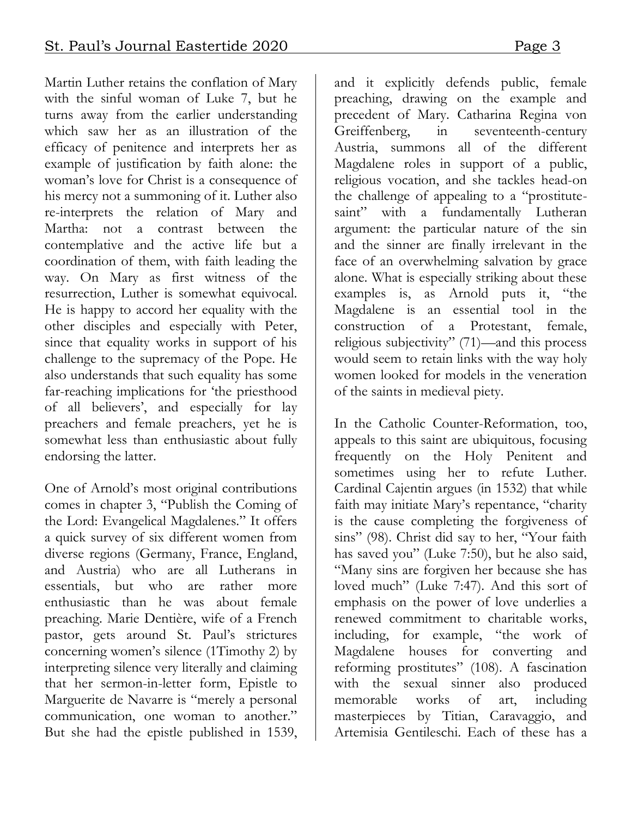Martin Luther retains the conflation of Mary with the sinful woman of Luke 7, but he turns away from the earlier understanding which saw her as an illustration of the efficacy of penitence and interprets her as example of justification by faith alone: the woman's love for Christ is a consequence of his mercy not a summoning of it. Luther also re-interprets the relation of Mary and Martha: not a contrast between the contemplative and the active life but a coordination of them, with faith leading the way. On Mary as first witness of the resurrection, Luther is somewhat equivocal. He is happy to accord her equality with the other disciples and especially with Peter, since that equality works in support of his challenge to the supremacy of the Pope. He also understands that such equality has some far-reaching implications for 'the priesthood of all believers', and especially for lay preachers and female preachers, yet he is somewhat less than enthusiastic about fully endorsing the latter.

One of Arnold's most original contributions comes in chapter 3, "Publish the Coming of the Lord: Evangelical Magdalenes." It offers a quick survey of six different women from diverse regions (Germany, France, England, and Austria) who are all Lutherans in essentials, but who are rather more enthusiastic than he was about female preaching. Marie Dentière, wife of a French pastor, gets around St. Paul's strictures concerning women's silence (1Timothy 2) by interpreting silence very literally and claiming that her sermon-in-letter form, Epistle to Marguerite de Navarre is "merely a personal communication, one woman to another." But she had the epistle published in 1539,

and it explicitly defends public, female preaching, drawing on the example and precedent of Mary. Catharina Regina von Greiffenberg, in seventeenth-century Austria, summons all of the different Magdalene roles in support of a public, religious vocation, and she tackles head-on the challenge of appealing to a "prostitutesaint" with a fundamentally Lutheran argument: the particular nature of the sin and the sinner are finally irrelevant in the face of an overwhelming salvation by grace alone. What is especially striking about these examples is, as Arnold puts it, "the Magdalene is an essential tool in the construction of a Protestant, female, religious subjectivity" (71)—and this process would seem to retain links with the way holy women looked for models in the veneration of the saints in medieval piety.

In the Catholic Counter-Reformation, too, appeals to this saint are ubiquitous, focusing frequently on the Holy Penitent and sometimes using her to refute Luther. Cardinal Cajentin argues (in 1532) that while faith may initiate Mary's repentance, "charity is the cause completing the forgiveness of sins" (98). Christ did say to her, "Your faith has saved you" (Luke 7:50), but he also said, "Many sins are forgiven her because she has loved much" (Luke 7:47). And this sort of emphasis on the power of love underlies a renewed commitment to charitable works, including, for example, "the work of Magdalene houses for converting and reforming prostitutes" (108). A fascination with the sexual sinner also produced memorable works of art, including masterpieces by Titian, Caravaggio, and Artemisia Gentileschi. Each of these has a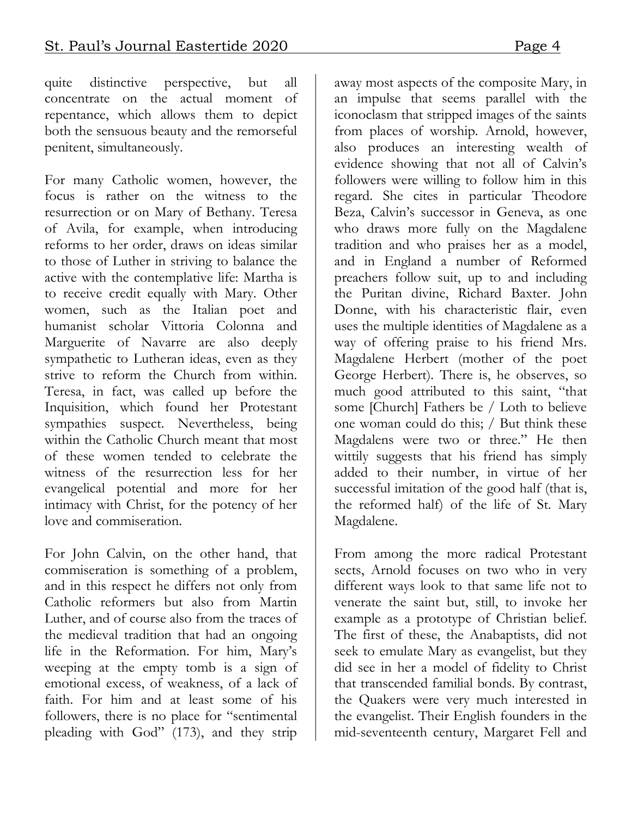quite distinctive perspective, but all concentrate on the actual moment of repentance, which allows them to depict both the sensuous beauty and the remorseful penitent, simultaneously.

For many Catholic women, however, the focus is rather on the witness to the resurrection or on Mary of Bethany. Teresa of Avila, for example, when introducing reforms to her order, draws on ideas similar to those of Luther in striving to balance the active with the contemplative life: Martha is to receive credit equally with Mary. Other women, such as the Italian poet and humanist scholar Vittoria Colonna and Marguerite of Navarre are also deeply sympathetic to Lutheran ideas, even as they strive to reform the Church from within. Teresa, in fact, was called up before the Inquisition, which found her Protestant sympathies suspect. Nevertheless, being within the Catholic Church meant that most of these women tended to celebrate the witness of the resurrection less for her evangelical potential and more for her intimacy with Christ, for the potency of her love and commiseration.

For John Calvin, on the other hand, that commiseration is something of a problem, and in this respect he differs not only from Catholic reformers but also from Martin Luther, and of course also from the traces of the medieval tradition that had an ongoing life in the Reformation. For him, Mary's weeping at the empty tomb is a sign of emotional excess, of weakness, of a lack of faith. For him and at least some of his followers, there is no place for "sentimental pleading with God" (173), and they strip

away most aspects of the composite Mary, in an impulse that seems parallel with the iconoclasm that stripped images of the saints from places of worship. Arnold, however, also produces an interesting wealth of evidence showing that not all of Calvin's followers were willing to follow him in this regard. She cites in particular Theodore Beza, Calvin's successor in Geneva, as one who draws more fully on the Magdalene tradition and who praises her as a model, and in England a number of Reformed preachers follow suit, up to and including the Puritan divine, Richard Baxter. John Donne, with his characteristic flair, even uses the multiple identities of Magdalene as a way of offering praise to his friend Mrs. Magdalene Herbert (mother of the poet George Herbert). There is, he observes, so much good attributed to this saint, "that some [Church] Fathers be / Loth to believe one woman could do this; / But think these Magdalens were two or three." He then wittily suggests that his friend has simply added to their number, in virtue of her successful imitation of the good half (that is, the reformed half) of the life of St. Mary Magdalene.

From among the more radical Protestant sects, Arnold focuses on two who in very different ways look to that same life not to venerate the saint but, still, to invoke her example as a prototype of Christian belief. The first of these, the Anabaptists, did not seek to emulate Mary as evangelist, but they did see in her a model of fidelity to Christ that transcended familial bonds. By contrast, the Quakers were very much interested in the evangelist. Their English founders in the mid-seventeenth century, Margaret Fell and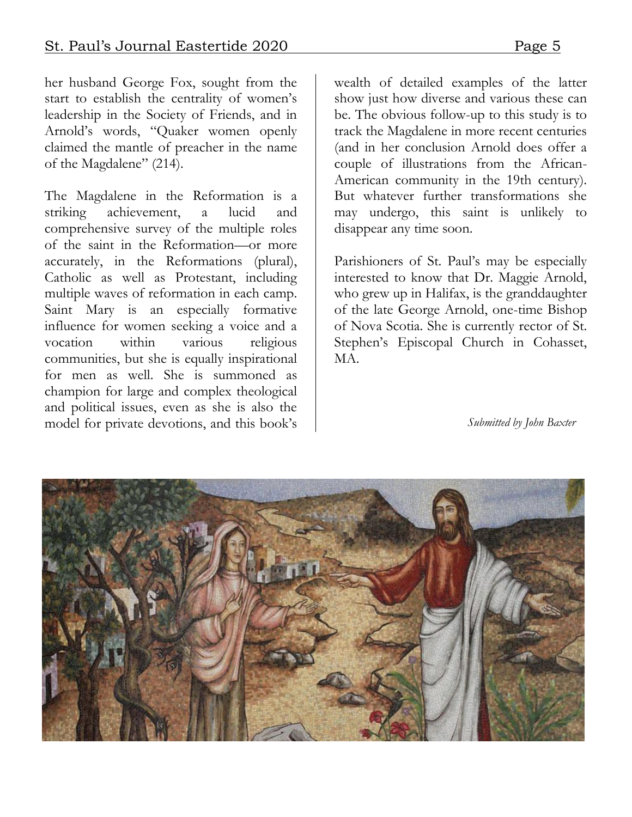her husband George Fox, sought from the start to establish the centrality of women's leadership in the Society of Friends, and in Arnold's words, "Quaker women openly claimed the mantle of preacher in the name of the Magdalene" (214).

The Magdalene in the Reformation is a striking achievement, a lucid and comprehensive survey of the multiple roles of the saint in the Reformation—or more accurately, in the Reformations (plural), Catholic as well as Protestant, including multiple waves of reformation in each camp. Saint Mary is an especially formative influence for women seeking a voice and a vocation within various religious communities, but she is equally inspirational for men as well. She is summoned as champion for large and complex theological and political issues, even as she is also the model for private devotions, and this book's wealth of detailed examples of the latter show just how diverse and various these can be. The obvious follow-up to this study is to track the Magdalene in more recent centuries (and in her conclusion Arnold does offer a couple of illustrations from the African-American community in the 19th century). But whatever further transformations she may undergo, this saint is unlikely to disappear any time soon.

Parishioners of St. Paul's may be especially interested to know that Dr. Maggie Arnold, who grew up in Halifax, is the granddaughter of the late George Arnold, one-time Bishop of Nova Scotia. She is currently rector of St. Stephen's Episcopal Church in Cohasset, MA.

 *Submitted by John Baxter*

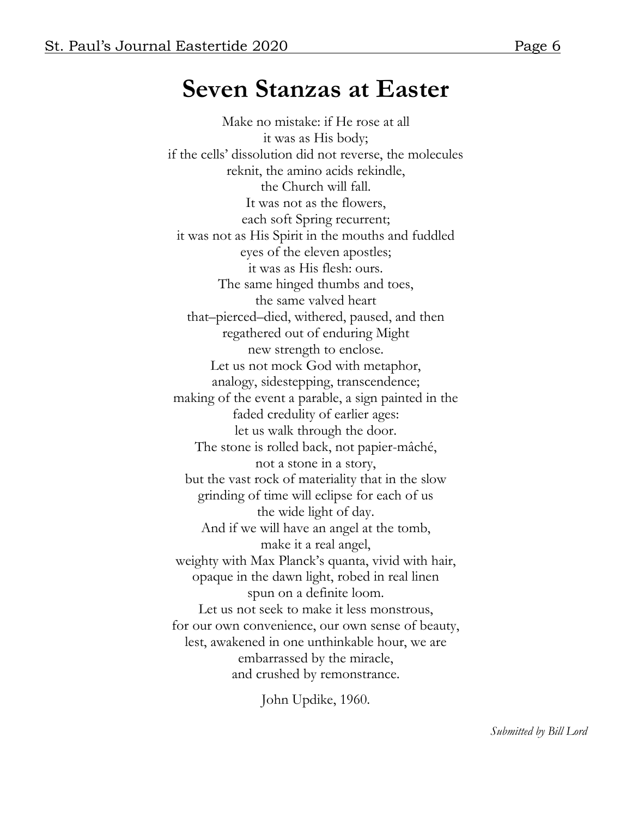#### **Seven Stanzas at Easter**

Make no mistake: if He rose at all it was as His body; if the cells' dissolution did not reverse, the molecules reknit, the amino acids rekindle, the Church will fall. It was not as the flowers, each soft Spring recurrent; it was not as His Spirit in the mouths and fuddled eyes of the eleven apostles; it was as His flesh: ours. The same hinged thumbs and toes, the same valved heart that–pierced–died, withered, paused, and then regathered out of enduring Might new strength to enclose. Let us not mock God with metaphor, analogy, sidestepping, transcendence; making of the event a parable, a sign painted in the faded credulity of earlier ages: let us walk through the door. The stone is rolled back, not papier-mâché, not a stone in a story, but the vast rock of materiality that in the slow grinding of time will eclipse for each of us the wide light of day. And if we will have an angel at the tomb, make it a real angel, weighty with Max Planck's quanta, vivid with hair, opaque in the dawn light, robed in real linen spun on a definite loom. Let us not seek to make it less monstrous, for our own convenience, our own sense of beauty, lest, awakened in one unthinkable hour, we are embarrassed by the miracle, and crushed by remonstrance.

John Updike, 1960.

*Submitted by Bill Lord*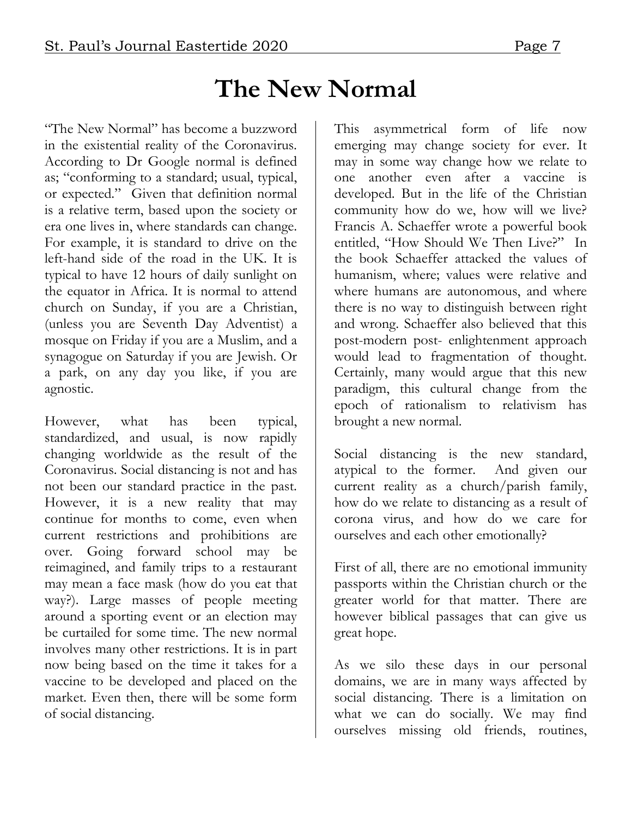# **The New Normal**

"The New Normal" has become a buzzword in the existential reality of the Coronavirus. According to Dr Google normal is defined as; "conforming to a standard; usual, typical, or expected." Given that definition normal is a relative term, based upon the society or era one lives in, where standards can change. For example, it is standard to drive on the left-hand side of the road in the UK. It is typical to have 12 hours of daily sunlight on the equator in Africa. It is normal to attend church on Sunday, if you are a Christian, (unless you are Seventh Day Adventist) a mosque on Friday if you are a Muslim, and a synagogue on Saturday if you are Jewish. Or a park, on any day you like, if you are agnostic.

However, what has been typical, standardized, and usual, is now rapidly changing worldwide as the result of the Coronavirus. Social distancing is not and has not been our standard practice in the past. However, it is a new reality that may continue for months to come, even when current restrictions and prohibitions are over. Going forward school may be reimagined, and family trips to a restaurant may mean a face mask (how do you eat that way?). Large masses of people meeting around a sporting event or an election may be curtailed for some time. The new normal involves many other restrictions. It is in part now being based on the time it takes for a vaccine to be developed and placed on the market. Even then, there will be some form of social distancing.

This asymmetrical form of life now emerging may change society for ever. It may in some way change how we relate to one another even after a vaccine is developed. But in the life of the Christian community how do we, how will we live? Francis A. Schaeffer wrote a powerful book entitled, "How Should We Then Live?" In the book Schaeffer attacked the values of humanism, where; values were relative and where humans are autonomous, and where there is no way to distinguish between right and wrong. Schaeffer also believed that this post-modern post- enlightenment approach would lead to fragmentation of thought. Certainly, many would argue that this new paradigm, this cultural change from the epoch of rationalism to relativism has brought a new normal.

Social distancing is the new standard, atypical to the former. And given our current reality as a church/parish family, how do we relate to distancing as a result of corona virus, and how do we care for ourselves and each other emotionally?

First of all, there are no emotional immunity passports within the Christian church or the greater world for that matter. There are however biblical passages that can give us great hope.

As we silo these days in our personal domains, we are in many ways affected by social distancing. There is a limitation on what we can do socially. We may find ourselves missing old friends, routines,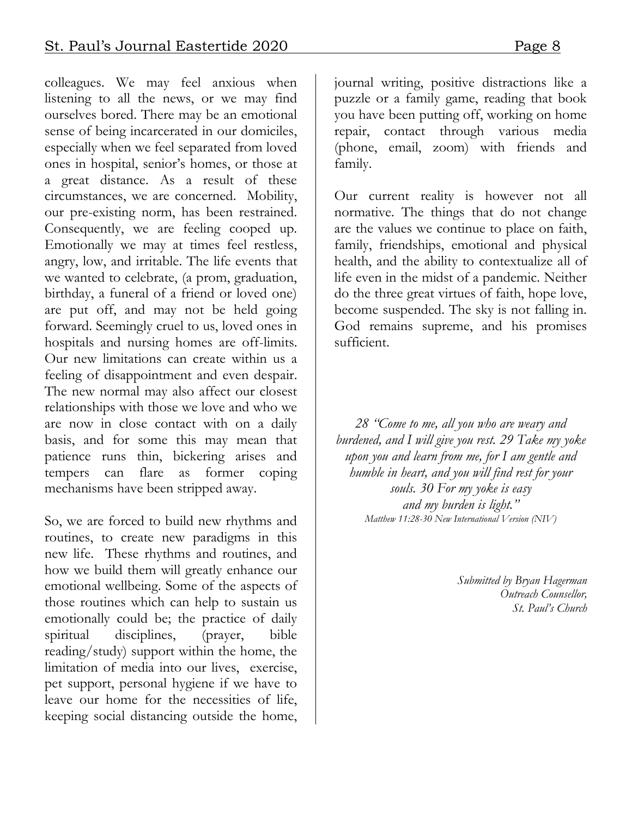colleagues. We may feel anxious when listening to all the news, or we may find ourselves bored. There may be an emotional sense of being incarcerated in our domiciles, especially when we feel separated from loved ones in hospital, senior's homes, or those at a great distance. As a result of these circumstances, we are concerned. Mobility, our pre-existing norm, has been restrained. Consequently, we are feeling cooped up. Emotionally we may at times feel restless, angry, low, and irritable. The life events that we wanted to celebrate, (a prom, graduation, birthday, a funeral of a friend or loved one) are put off, and may not be held going forward. Seemingly cruel to us, loved ones in hospitals and nursing homes are off-limits. Our new limitations can create within us a feeling of disappointment and even despair. The new normal may also affect our closest relationships with those we love and who we are now in close contact with on a daily basis, and for some this may mean that patience runs thin, bickering arises and tempers can flare as former coping mechanisms have been stripped away.

So, we are forced to build new rhythms and routines, to create new paradigms in this new life. These rhythms and routines, and how we build them will greatly enhance our emotional wellbeing. Some of the aspects of those routines which can help to sustain us emotionally could be; the practice of daily spiritual disciplines, (prayer, bible reading/study) support within the home, the limitation of media into our lives, exercise, pet support, personal hygiene if we have to leave our home for the necessities of life, keeping social distancing outside the home,

journal writing, positive distractions like a puzzle or a family game, reading that book you have been putting off, working on home repair, contact through various media (phone, email, zoom) with friends and family.

Our current reality is however not all normative. The things that do not change are the values we continue to place on faith, family, friendships, emotional and physical health, and the ability to contextualize all of life even in the midst of a pandemic. Neither do the three great virtues of faith, hope love, become suspended. The sky is not falling in. God remains supreme, and his promises sufficient.

*28 "Come to me, all you who are weary and burdened, and I will give you rest. 29 Take my yoke upon you and learn from me, for I am gentle and humble in heart, and you will find rest for your souls. 30 For my yoke is easy and my burden is light." Matthew 11:28-30 New International Version (NIV)*

> *Submitted by Bryan Hagerman Outreach Counsellor, St. Paul's Church*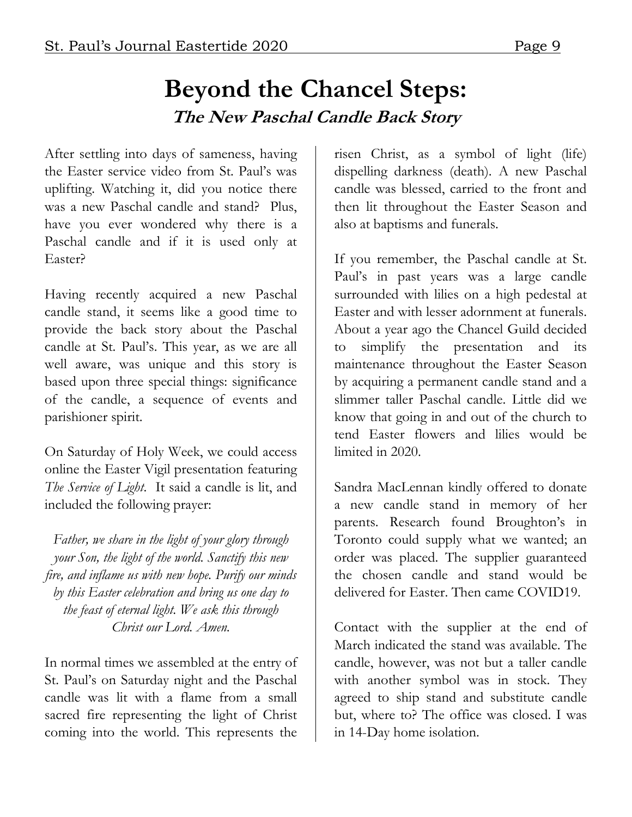#### **Beyond the Chancel Steps: The New Paschal Candle Back Story**

After settling into days of sameness, having the Easter service video from St. Paul's was uplifting. Watching it, did you notice there was a new Paschal candle and stand? Plus, have you ever wondered why there is a Paschal candle and if it is used only at Easter?

Having recently acquired a new Paschal candle stand, it seems like a good time to provide the back story about the Paschal candle at St. Paul's. This year, as we are all well aware, was unique and this story is based upon three special things: significance of the candle, a sequence of events and parishioner spirit.

On Saturday of Holy Week, we could access online the Easter Vigil presentation featuring *The Service of Light*. It said a candle is lit, and included the following prayer:

*Father, we share in the light of your glory through your Son, the light of the world. Sanctify this new fire, and inflame us with new hope. Purify our minds by this Easter celebration and bring us one day to the feast of eternal light. We ask this through Christ our Lord. Amen.*

In normal times we assembled at the entry of St. Paul's on Saturday night and the Paschal candle was lit with a flame from a small sacred fire representing the light of Christ coming into the world. This represents the risen Christ, as a symbol of light (life) dispelling darkness (death). A new Paschal candle was blessed, carried to the front and then lit throughout the Easter Season and also at baptisms and funerals.

If you remember, the Paschal candle at St. Paul's in past years was a large candle surrounded with lilies on a high pedestal at Easter and with lesser adornment at funerals. About a year ago the Chancel Guild decided to simplify the presentation and its maintenance throughout the Easter Season by acquiring a permanent candle stand and a slimmer taller Paschal candle. Little did we know that going in and out of the church to tend Easter flowers and lilies would be limited in 2020.

Sandra MacLennan kindly offered to donate a new candle stand in memory of her parents. Research found Broughton's in Toronto could supply what we wanted; an order was placed. The supplier guaranteed the chosen candle and stand would be delivered for Easter. Then came COVID19.

Contact with the supplier at the end of March indicated the stand was available. The candle, however, was not but a taller candle with another symbol was in stock. They agreed to ship stand and substitute candle but, where to? The office was closed. I was in 14-Day home isolation.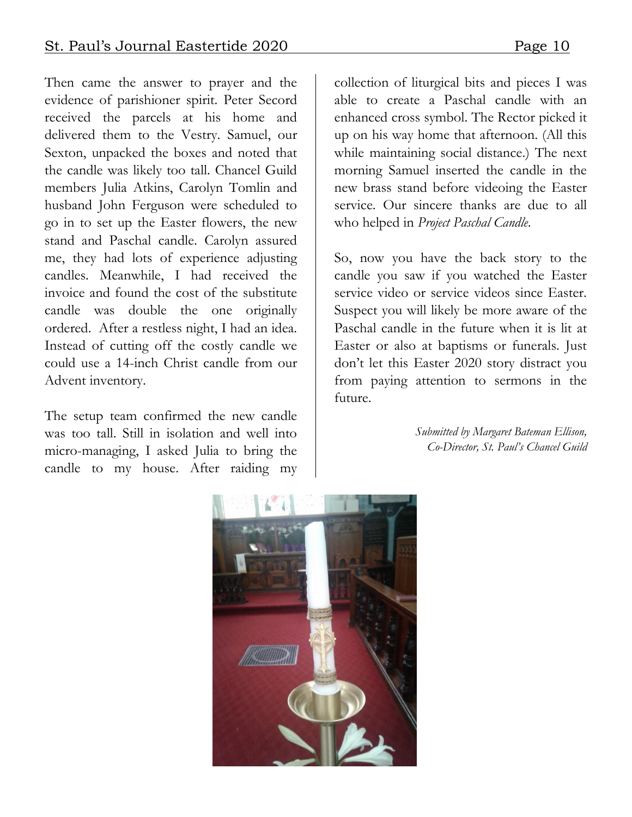Then came the answer to prayer and the evidence of parishioner spirit. Peter Secord received the parcels at his home and delivered them to the Vestry. Samuel, our Sexton, unpacked the boxes and noted that the candle was likely too tall. Chancel Guild members Julia Atkins, Carolyn Tomlin and husband John Ferguson were scheduled to go in to set up the Easter flowers, the new stand and Paschal candle. Carolyn assured me, they had lots of experience adjusting candles. Meanwhile, I had received the invoice and found the cost of the substitute candle was double the one originally ordered. After a restless night, I had an idea. Instead of cutting off the costly candle we could use a 14-inch Christ candle from our Advent inventory.

The setup team confirmed the new candle was too tall. Still in isolation and well into micro-managing, I asked Julia to bring the candle to my house. After raiding my

collection of liturgical bits and pieces I was able to create a Paschal candle with an enhanced cross symbol. The Rector picked it up on his way home that afternoon. (All this while maintaining social distance.) The next morning Samuel inserted the candle in the new brass stand before videoing the Easter service. Our sincere thanks are due to all who helped in *Project Paschal Candle*.

So, now you have the back story to the candle you saw if you watched the Easter service video or service videos since Easter. Suspect you will likely be more aware of the Paschal candle in the future when it is lit at Easter or also at baptisms or funerals. Just don't let this Easter 2020 story distract you from paying attention to sermons in the future.

> *Submitted by Margaret Bateman Ellison, Co-Director, St. Paul's Chancel Guild*

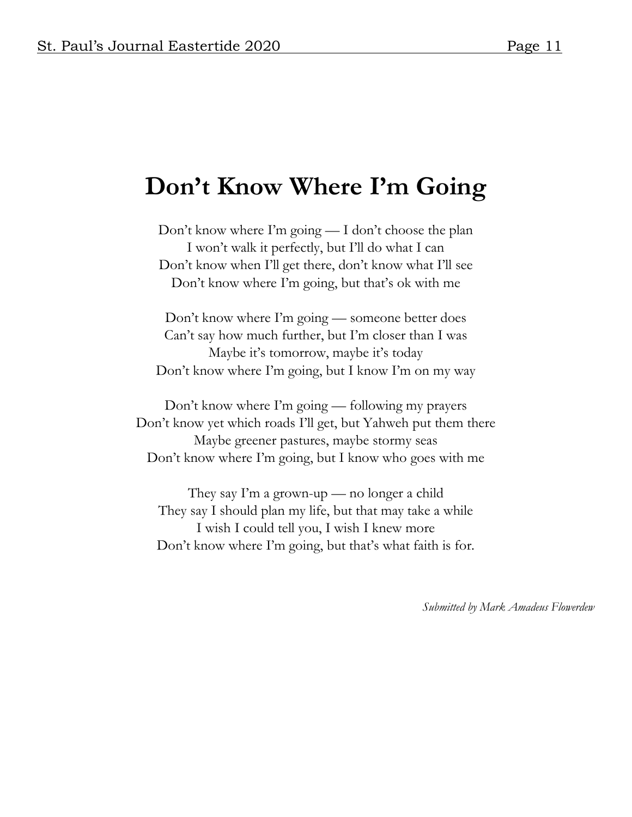### **Don't Know Where I'm Going**

Don't know where I'm going — I don't choose the plan I won't walk it perfectly, but I'll do what I can Don't know when I'll get there, don't know what I'll see Don't know where I'm going, but that's ok with me

Don't know where I'm going — someone better does Can't say how much further, but I'm closer than I was Maybe it's tomorrow, maybe it's today Don't know where I'm going, but I know I'm on my way

Don't know where I'm going — following my prayers Don't know yet which roads I'll get, but Yahweh put them there Maybe greener pastures, maybe stormy seas Don't know where I'm going, but I know who goes with me

They say I'm a grown-up — no longer a child They say I should plan my life, but that may take a while I wish I could tell you, I wish I knew more Don't know where I'm going, but that's what faith is for.

*Submitted by Mark Amadeus Flowerdew*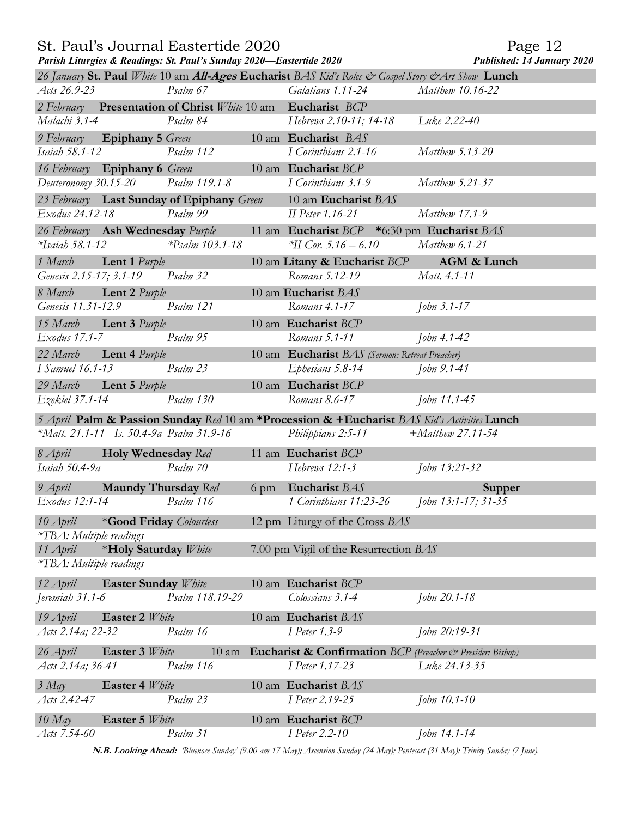|  | St. Paul's Journal Eastertide 2020 |  |
|--|------------------------------------|--|
|  |                                    |  |

Page 12

| Parish Liturgies & Readings: St. Paul's Sunday 2020-Eastertide 2020<br><b>Published: 14 January 2020</b> |                      |  |                                                                                             |                     |  |  |  |
|----------------------------------------------------------------------------------------------------------|----------------------|--|---------------------------------------------------------------------------------------------|---------------------|--|--|--|
| 26 January St. Paul White 10 am All-Ages Eucharist BAS Kid's Roles & Gospel Story & Art Show Lunch       |                      |  |                                                                                             |                     |  |  |  |
| Acts 26.9-23                                                                                             | Psalm 67             |  | Galatians 1.11-24                                                                           | Matthew 10.16-22    |  |  |  |
| 2 February Presentation of Christ White 10 am Eucharist BCP                                              |                      |  |                                                                                             |                     |  |  |  |
| Malachi 3.1-4                                                                                            | Psalm 84             |  | Hebrews 2.10-11; 14-18                                                                      | Luke 2.22-40        |  |  |  |
| 9 February Epiphany 5 Green 10 am Eucharist BAS                                                          |                      |  |                                                                                             |                     |  |  |  |
| <i>Isaiah 58.1-12</i>                                                                                    | Psalm 112            |  | I Corinthians 2.1-16                                                                        | Matthew 5.13-20     |  |  |  |
| 16 February Epiphany 6 Green 10 am Eucharist BCP                                                         |                      |  |                                                                                             |                     |  |  |  |
| Deuteronomy 30.15-20 Psalm 119.1-8                                                                       |                      |  | I Corinthians 3.1-9                                                                         | Matthew 5.21-37     |  |  |  |
| 23 February Last Sunday of Epiphany Green                                                                |                      |  | 10 am Eucharist BAS                                                                         |                     |  |  |  |
| Exodus 24.12-18                                                                                          | Psalm 99             |  | II Peter 1.16-21                                                                            | Matthew 17.1-9      |  |  |  |
| 26 February Ash Wednesday Purple                                                                         |                      |  | 11 am Eucharist BCP *6:30 pm Eucharist BAS                                                  |                     |  |  |  |
| $*Isaiah 58.1-12$                                                                                        | $*P_{salm}$ 103.1-18 |  | *II Cor. 5.16 – 6.10                                                                        | Matthew 6.1-21      |  |  |  |
| 1 March <b>Lent 1</b> Purple                                                                             |                      |  | 10 am Litany & Eucharist BCP                                                                | AGM & Lunch         |  |  |  |
| Genesis 2.15-17; 3.1-19 Psalm 32                                                                         |                      |  | Romans 5.12-19                                                                              | Matt. 4.1-11        |  |  |  |
| 8 March <b>Lent 2</b> Purple                                                                             |                      |  | 10 am Eucharist BAS                                                                         |                     |  |  |  |
| Genesis 11.31-12.9                                                                                       | Psalm 121            |  | Romans 4.1-17                                                                               | <i>John 3.1-17</i>  |  |  |  |
| 15 March Lent 3 Purple                                                                                   |                      |  | 10 am Eucharist BCP                                                                         |                     |  |  |  |
| Exodus 17.1-7                                                                                            | Psalm 95             |  | Romans 5.1-11                                                                               | John 4.1-42         |  |  |  |
| 22 March Lent 4 Purple                                                                                   |                      |  | 10 am Eucharist BAS (Sermon: Retreat Preacher)                                              |                     |  |  |  |
| <i>I</i> Samuel 16.1-13                                                                                  | Psalm 23             |  | Ephesians 5.8-14                                                                            | John 9.1-41         |  |  |  |
| 29 March Lent 5 Purple                                                                                   |                      |  | 10 am Eucharist BCP                                                                         |                     |  |  |  |
| Ezekiel 37.1-14                                                                                          | Psalm 130            |  | Romans 8.6-17                                                                               | John 11.1-45        |  |  |  |
|                                                                                                          |                      |  |                                                                                             |                     |  |  |  |
|                                                                                                          |                      |  | 5 April Palm & Passion Sunday Red 10 am *Procession & +Eucharist BAS Kid's Activities Lunch |                     |  |  |  |
| *Matt. 21.1-11 Is. 50.4-9a Psalm 31.9-16                                                                 |                      |  | Philippians 2:5-11                                                                          | $+Matthew 27.11-54$ |  |  |  |
| 8 April <b>Holy Wednesday</b> Red                                                                        |                      |  | 11 am Eucharist BCP                                                                         |                     |  |  |  |
| Isaiah 50.4-9a                                                                                           | Psalm 70             |  | Hebrews 12:1-3                                                                              | John 13:21-32       |  |  |  |
| 9 April <b>Maundy Thursday</b> Red                                                                       |                      |  | 6 pm Eucharist BAS                                                                          | Supper              |  |  |  |
| Exodus 12:1-14                                                                                           | Psalm 116            |  | 1 Corinthians 11:23-26                                                                      | John 13:1-17; 31-35 |  |  |  |
| 10 April *Good Friday Colourless                                                                         |                      |  | 12 pm Liturgy of the Cross BAS                                                              |                     |  |  |  |
| *TBA: Multiple readings                                                                                  |                      |  |                                                                                             |                     |  |  |  |
| 11 April                                                                                                 | *Holy Saturday White |  | 7.00 pm Vigil of the Resurrection BAS                                                       |                     |  |  |  |
| *TBA: Multiple readings                                                                                  |                      |  |                                                                                             |                     |  |  |  |
| 12 April<br><b>Easter Sunday</b> White                                                                   |                      |  | 10 am Eucharist BCP                                                                         |                     |  |  |  |
| Jeremiah $31.1 - 6$                                                                                      | Psalm 118.19-29      |  | Colossians 3.1-4                                                                            | John 20.1-18        |  |  |  |
|                                                                                                          |                      |  |                                                                                             |                     |  |  |  |
| 19 April<br><b>Easter 2 White</b>                                                                        |                      |  | 10 am Eucharist BAS                                                                         |                     |  |  |  |
| Acts 2.14a; 22-32                                                                                        | Psalm 16             |  | <i>I Peter 1.3-9</i>                                                                        | John 20:19-31       |  |  |  |
| 26 April<br>Easter 3 White                                                                               |                      |  | 10 am Eucharist & Confirmation BCP (Preacher & Presider: Bishop)                            |                     |  |  |  |
| Acts 2.14a; 36-41                                                                                        | Psalm 116            |  | I Peter 1.17-23                                                                             | Luke 24.13-35       |  |  |  |
| $3$ May<br>Easter 4 White                                                                                |                      |  | 10 am Eucharist BAS                                                                         |                     |  |  |  |
| Acts 2.42-47                                                                                             | Psalm 23             |  | I Peter 2.19-25                                                                             | John 10.1-10        |  |  |  |
| $10$ May<br><b>Easter 5 White</b>                                                                        |                      |  | 10 am Eucharist BCP                                                                         |                     |  |  |  |
| Acts 7.54-60                                                                                             | Psalm 31             |  | <i>I</i> Peter 2.2-10                                                                       | John 14.1-14        |  |  |  |
|                                                                                                          |                      |  |                                                                                             |                     |  |  |  |

**N.B. Looking Ahead:** *'Bluenose Sunday' (9.00 am 17 May); Ascension Sunday (24 May); Pentecost (31 May): Trinity Sunday (7 June).*